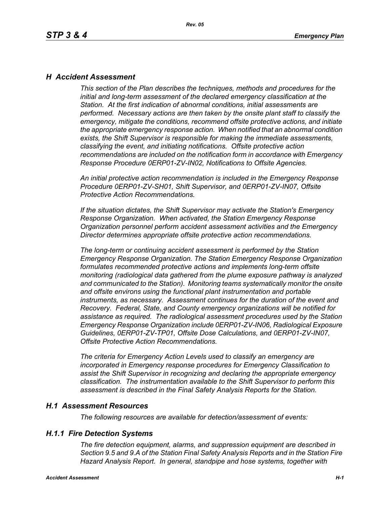### *H Accident Assessment*

*This section of the Plan describes the techniques, methods and procedures for the initial and long-term assessment of the declared emergency classification at the Station. At the first indication of abnormal conditions, initial assessments are performed. Necessary actions are then taken by the onsite plant staff to classify the emergency, mitigate the conditions, recommend offsite protective actions, and initiate the appropriate emergency response action. When notified that an abnormal condition exists, the Shift Supervisor is responsible for making the immediate assessments, classifying the event, and initiating notifications. Offsite protective action recommendations are included on the notification form in accordance with Emergency Response Procedure 0ERP01-ZV-IN02, Notifications to Offsite Agencies.*

*An initial protective action recommendation is included in the Emergency Response Procedure 0ERP01-ZV-SH01, Shift Supervisor, and 0ERP01-ZV-IN07, Offsite Protective Action Recommendations.*

*If the situation dictates, the Shift Supervisor may activate the Station's Emergency Response Organization. When activated, the Station Emergency Response Organization personnel perform accident assessment activities and the Emergency Director determines appropriate offsite protective action recommendations.*

*The long-term or continuing accident assessment is performed by the Station Emergency Response Organization. The Station Emergency Response Organization formulates recommended protective actions and implements long-term offsite monitoring (radiological data gathered from the plume exposure pathway is analyzed and communicated to the Station). Monitoring teams systematically monitor the onsite and offsite environs using the functional plant instrumentation and portable instruments, as necessary. Assessment continues for the duration of the event and Recovery. Federal, State, and County emergency organizations will be notified for assistance as required. The radiological assessment procedures used by the Station Emergency Response Organization include 0ERP01-ZV-IN06, Radiological Exposure Guidelines, 0ERP01-ZV-TP01, Offsite Dose Calculations, and 0ERP01-ZV-IN07, Offsite Protective Action Recommendations.*

*The criteria for Emergency Action Levels used to classify an emergency are incorporated in Emergency response procedures for Emergency Classification to assist the Shift Supervisor in recognizing and declaring the appropriate emergency classification. The instrumentation available to the Shift Supervisor to perform this assessment is described in the Final Safety Analysis Reports for the Station.*

### *H.1 Assessment Resources*

*The following resources are available for detection/assessment of events:*

### *H.1.1 Fire Detection Systems*

*The fire detection equipment, alarms, and suppression equipment are described in Section 9.5 and 9.A of the Station Final Safety Analysis Reports and in the Station Fire Hazard Analysis Report. In general, standpipe and hose systems, together with*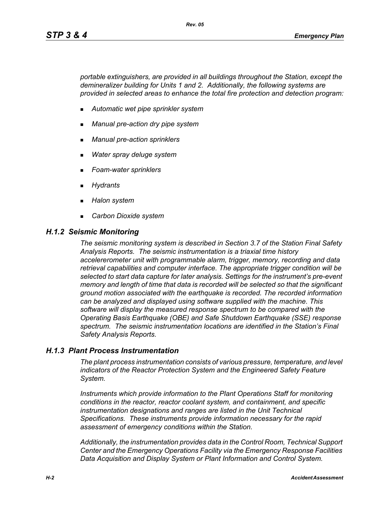*portable extinguishers, are provided in all buildings throughout the Station, except the demineralizer building for Units 1 and 2. Additionally, the following systems are provided in selected areas to enhance the total fire protection and detection program:*

- *Automatic wet pipe sprinkler system*
- *Manual pre-action dry pipe system*
- *Manual pre-action sprinklers*
- *Water spray deluge system*
- *Foam-water sprinklers*
- *Hydrants*
- *Halon system*
- *Carbon Dioxide system*

#### *H.1.2 Seismic Monitoring*

*The seismic monitoring system is described in Section 3.7 of the Station Final Safety Analysis Reports. The seismic instrumentation is a triaxial time history accelererometer unit with programmable alarm, trigger, memory, recording and data retrieval capabilities and computer interface. The appropriate trigger condition will be selected to start data capture for later analysis. Settings for the instrument's pre-event memory and length of time that data is recorded will be selected so that the significant ground motion associated with the earthquake is recorded. The recorded information can be analyzed and displayed using software supplied with the machine. This software will display the measured response spectrum to be compared with the Operating Basis Earthquake (OBE) and Safe Shutdown Earthquake (SSE) response spectrum. The seismic instrumentation locations are identified in the Station's Final Safety Analysis Reports.*

### *H.1.3 Plant Process Instrumentation*

*The plant process instrumentation consists of various pressure, temperature, and level indicators of the Reactor Protection System and the Engineered Safety Feature System.*

*Instruments which provide information to the Plant Operations Staff for monitoring conditions in the reactor, reactor coolant system, and containment, and specific instrumentation designations and ranges are listed in the Unit Technical Specifications. These instruments provide information necessary for the rapid assessment of emergency conditions within the Station.*

*Additionally, the instrumentation provides data in the Control Room, Technical Support Center and the Emergency Operations Facility via the Emergency Response Facilities Data Acquisition and Display System or Plant Information and Control System.*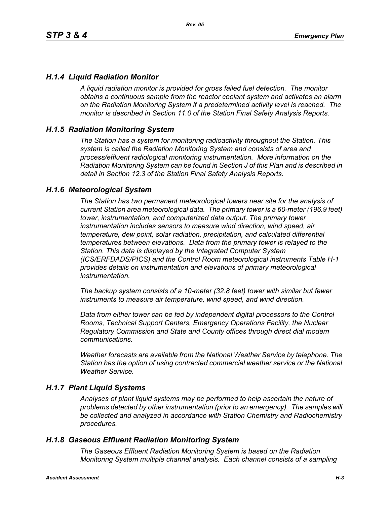## *H.1.4 Liquid Radiation Monitor*

*A liquid radiation monitor is provided for gross failed fuel detection. The monitor obtains a continuous sample from the reactor coolant system and activates an alarm on the Radiation Monitoring System if a predetermined activity level is reached. The monitor is described in Section 11.0 of the Station Final Safety Analysis Reports.*

### *H.1.5 Radiation Monitoring System*

*The Station has a system for monitoring radioactivity throughout the Station. This system is called the Radiation Monitoring System and consists of area and process/effluent radiological monitoring instrumentation. More information on the Radiation Monitoring System can be found in Section J of this Plan and is described in detail in Section 12.3 of the Station Final Safety Analysis Reports.*

### *H.1.6 Meteorological System*

*The Station has two permanent meteorological towers near site for the analysis of current Station area meteorological data. The primary tower is a 60-meter (196.9 feet) tower, instrumentation, and computerized data output. The primary tower instrumentation includes sensors to measure wind direction, wind speed, air temperature, dew point, solar radiation, precipitation, and calculated differential temperatures between elevations. Data from the primary tower is relayed to the Station. This data is displayed by the Integrated Computer System (ICS/ERFDADS/PICS) and the Control Room meteorological instruments Table H-1 provides details on instrumentation and elevations of primary meteorological instrumentation.*

*The backup system consists of a 10-meter (32.8 feet) tower with similar but fewer instruments to measure air temperature, wind speed, and wind direction.*

*Data from either tower can be fed by independent digital processors to the Control Rooms, Technical Support Centers, Emergency Operations Facility, the Nuclear Regulatory Commission and State and County offices through direct dial modem communications.* 

*Weather forecasts are available from the National Weather Service by telephone. The Station has the option of using contracted commercial weather service or the National Weather Service.*

### *H.1.7 Plant Liquid Systems*

*Analyses of plant liquid systems may be performed to help ascertain the nature of problems detected by other instrumentation (prior to an emergency). The samples will be collected and analyzed in accordance with Station Chemistry and Radiochemistry procedures.*

### *H.1.8 Gaseous Effluent Radiation Monitoring System*

*The Gaseous Effluent Radiation Monitoring System is based on the Radiation Monitoring System multiple channel analysis. Each channel consists of a sampling*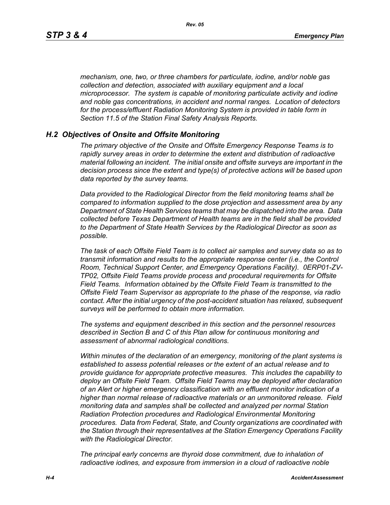*mechanism, one, two, or three chambers for particulate, iodine, and/or noble gas collection and detection, associated with auxiliary equipment and a local microprocessor. The system is capable of monitoring particulate activity and iodine and noble gas concentrations, in accident and normal ranges. Location of detectors for the process/effluent Radiation Monitoring System is provided in table form in Section 11.5 of the Station Final Safety Analysis Reports.* 

#### *H.2 Objectives of Onsite and Offsite Monitoring*

*The primary objective of the Onsite and Offsite Emergency Response Teams is to rapidly survey areas in order to determine the extent and distribution of radioactive material following an incident. The initial onsite and offsite surveys are important in the decision process since the extent and type(s) of protective actions will be based upon data reported by the survey teams.*

*Data provided to the Radiological Director from the field monitoring teams shall be compared to information supplied to the dose projection and assessment area by any Department of State Health Services teams that may be dispatched into the area. Data collected before Texas Department of Health teams are in the field shall be provided to the Department of State Health Services by the Radiological Director as soon as possible.*

*The task of each Offsite Field Team is to collect air samples and survey data so as to transmit information and results to the appropriate response center (i.e., the Control Room, Technical Support Center, and Emergency Operations Facility). 0ERP01-ZV-TP02, Offsite Field Teams provide process and procedural requirements for Offsite Field Teams. Information obtained by the Offsite Field Team is transmitted to the Offsite Field Team Supervisor as appropriate to the phase of the response, via radio contact. After the initial urgency of the post-accident situation has relaxed, subsequent surveys will be performed to obtain more information.*

*The systems and equipment described in this section and the personnel resources described in Section B and C of this Plan allow for continuous monitoring and assessment of abnormal radiological conditions.*

*Within minutes of the declaration of an emergency, monitoring of the plant systems is established to assess potential releases or the extent of an actual release and to provide guidance for appropriate protective measures. This includes the capability to deploy an Offsite Field Team. Offsite Field Teams may be deployed after declaration of an Alert or higher emergency classification with an effluent monitor indication of a higher than normal release of radioactive materials or an unmonitored release. Field monitoring data and samples shall be collected and analyzed per normal Station Radiation Protection procedures and Radiological Environmental Monitoring procedures. Data from Federal, State, and County organizations are coordinated with the Station through their representatives at the Station Emergency Operations Facility with the Radiological Director.*

*The principal early concerns are thyroid dose commitment, due to inhalation of radioactive iodines, and exposure from immersion in a cloud of radioactive noble*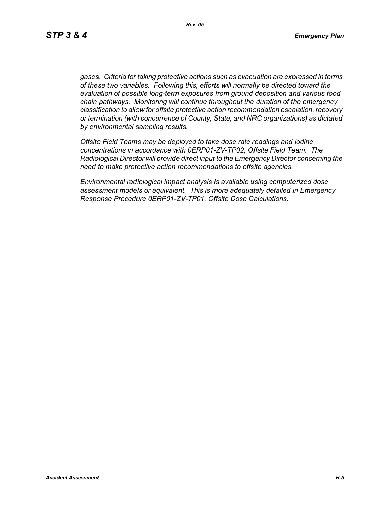*gases. Criteria for taking protective actions such as evacuation are expressed in terms of these two variables. Following this, efforts will normally be directed toward the evaluation of possible long-term exposures from ground deposition and various food chain pathways. Monitoring will continue throughout the duration of the emergency classification to allow for offsite protective action recommendation escalation, recovery or termination (with concurrence of County, State, and NRC organizations) as dictated by environmental sampling results.*

*Offsite Field Teams may be deployed to take dose rate readings and iodine concentrations in accordance with 0ERP01-ZV-TP02, Offsite Field Team. The Radiological Director will provide direct input to the Emergency Director concerning the need to make protective action recommendations to offsite agencies.* 

*Environmental radiological impact analysis is available using computerized dose assessment models or equivalent. This is more adequately detailed in Emergency Response Procedure 0ERP01-ZV-TP01, Offsite Dose Calculations.*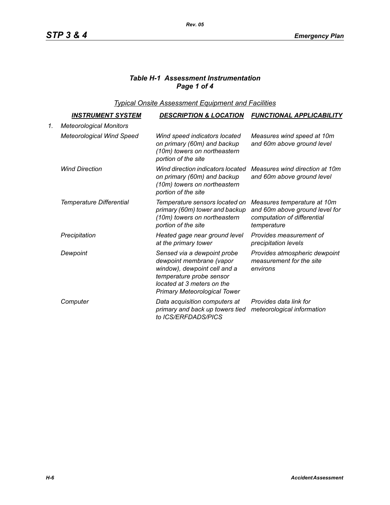# *Table H-1 Assessment Instrumentation Page 1 of 4*

*Typical Onsite Assessment Equipment and Facilities*

|    | <u>INSTRUMENT SYSTEM</u>         | <b>DESCRIPTION &amp; LOCATION</b>                                                                                                                                                        | <b>FUNCTIONAL APPLICABILITY</b>                                                                             |
|----|----------------------------------|------------------------------------------------------------------------------------------------------------------------------------------------------------------------------------------|-------------------------------------------------------------------------------------------------------------|
| 1. | <b>Meteorological Monitors</b>   |                                                                                                                                                                                          |                                                                                                             |
|    | <b>Meteorological Wind Speed</b> | Wind speed indicators located<br>on primary (60m) and backup<br>(10m) towers on northeastern<br>portion of the site                                                                      | Measures wind speed at 10m<br>and 60m above ground level                                                    |
|    | <b>Wind Direction</b>            | Wind direction indicators located<br>on primary (60m) and backup<br>(10m) towers on northeastern<br>portion of the site                                                                  | Measures wind direction at 10m<br>and 60m above ground level                                                |
|    | Temperature Differential         | Temperature sensors located on<br>primary (60m) tower and backup<br>(10m) towers on northeastern<br>portion of the site                                                                  | Measures temperature at 10m<br>and 60m above ground level for<br>computation of differential<br>temperature |
|    | Precipitation                    | Heated gage near ground level<br>at the primary tower                                                                                                                                    | Provides measurement of<br>precipitation levels                                                             |
|    | Dewpoint                         | Sensed via a dewpoint probe<br>dewpoint membrane (vapor<br>window), dewpoint cell and a<br>temperature probe sensor<br>located at 3 meters on the<br><b>Primary Meteorological Tower</b> | Provides atmospheric dewpoint<br>measurement for the site<br>environs                                       |
|    | Computer                         | Data acquisition computers at<br>primary and back up towers tied<br>to ICS/ERFDADS/PICS                                                                                                  | Provides data link for<br>meteorological information                                                        |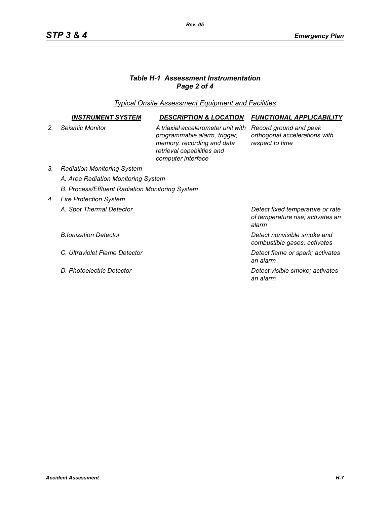# *Table H-1 Assessment Instrumentation Page 2 of 4*

*Typical Onsite Assessment Equipment and Facilities*

|                | INSTRUMENT SYSTEM                               | <b>DESCRIPTION &amp; LOCATION</b>                                                                                                                    | <b>FUNCTIONAL APPLICABILITY</b>                                                |  |  |
|----------------|-------------------------------------------------|------------------------------------------------------------------------------------------------------------------------------------------------------|--------------------------------------------------------------------------------|--|--|
| 2 <sub>1</sub> | Seismic Monitor                                 | A triaxial accelerometer unit with<br>programmable alarm, trigger,<br>memory, recording and data<br>retrieval capabilities and<br>computer interface | Record ground and peak<br>orthogonal accelerations with<br>respect to time     |  |  |
| 3.             | <b>Radiation Monitoring System</b>              |                                                                                                                                                      |                                                                                |  |  |
|                | A. Area Radiation Monitoring System             |                                                                                                                                                      |                                                                                |  |  |
|                | B. Process/Effluent Radiation Monitoring System |                                                                                                                                                      |                                                                                |  |  |
| 4 <sup>1</sup> | <b>Fire Protection System</b>                   |                                                                                                                                                      |                                                                                |  |  |
|                | A. Spot Thermal Detector                        |                                                                                                                                                      | Detect fixed temperature or rate<br>of temperature rise; activates an<br>alarm |  |  |
|                | <b>B.Ionization Detector</b>                    |                                                                                                                                                      | Detect nonvisible smoke and<br>combustible gases; activates                    |  |  |
|                | C. Ultraviolet Flame Detector                   |                                                                                                                                                      | Detect flame or spark; activates<br>an alarm                                   |  |  |
|                | D. Photoelectric Detector                       |                                                                                                                                                      | Detect visible smoke; activates<br>an alarm                                    |  |  |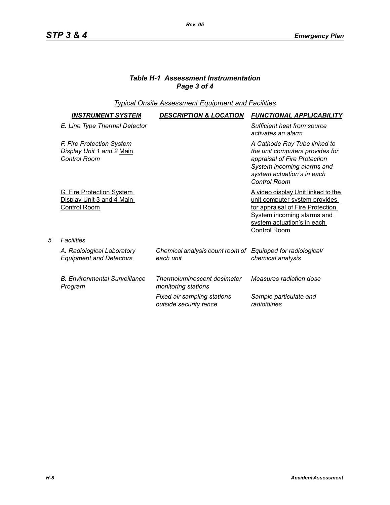# *Table H-1 Assessment Instrumentation Page 3 of 4*

## *Typical Onsite Assessment Equipment and Facilities*

| INSTRUMENT SYSTEM                                                                    | <b>DESCRIPTION &amp; LOCATION</b>                                       | <b>FUNCTIONAL APPLICABILITY</b>                                                                                                                                                                   |
|--------------------------------------------------------------------------------------|-------------------------------------------------------------------------|---------------------------------------------------------------------------------------------------------------------------------------------------------------------------------------------------|
| E. Line Type Thermal Detector                                                        |                                                                         | Sufficient heat from source<br>activates an alarm                                                                                                                                                 |
| F. Fire Protection System<br>Display Unit 1 and 2 Main<br>Control Room               |                                                                         | A Cathode Ray Tube linked to<br>the unit computers provides for<br>appraisal of Fire Protection<br>System incoming alarms and<br>system actuation's in each<br><b>Control Room</b>                |
| <b>G. Fire Protection System</b><br>Display Unit 3 and 4 Main<br><b>Control Room</b> |                                                                         | A video display Unit linked to the<br>unit computer system provides<br>for appraisal of Fire Protection<br><b>System incoming alarms and</b><br>system actuation's in each<br><b>Control Room</b> |
| <b>Facilities</b>                                                                    |                                                                         |                                                                                                                                                                                                   |
| A. Radiological Laboratory<br><b>Equipment and Detectors</b>                         | Chemical analysis count room of Equipped for radiological/<br>each unit | chemical analysis                                                                                                                                                                                 |
| <b>B. Environmental Surveillance</b><br>Program                                      | Thermoluminescent dosimeter<br>monitoring stations                      | Measures radiation dose                                                                                                                                                                           |
|                                                                                      | Fixed air sampling stations<br>outside security fence                   | Sample particulate and<br>radioidines                                                                                                                                                             |

*5. Facilities*